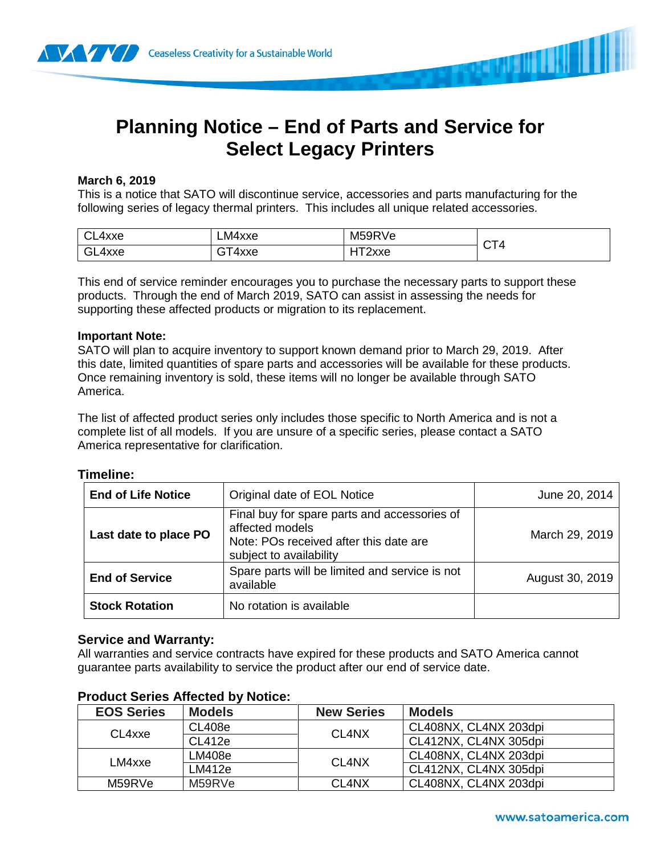

# **Planning Notice – End of Parts and Service for Select Legacy Printers**

## **March 6, 2019**

This is a notice that SATO will discontinue service, accessories and parts manufacturing for the following series of legacy thermal printers. This includes all unique related accessories.

| CL4xxe | ∟M4xxe | M59RVe | $\sim$ $\sim$ |
|--------|--------|--------|---------------|
| GL4xxe | т4ххе  | $-2$   | 4             |
|        | ີ      | . 2xxe | . U L         |

This end of service reminder encourages you to purchase the necessary parts to support these products. Through the end of March 2019, SATO can assist in assessing the needs for supporting these affected products or migration to its replacement.

## **Important Note:**

SATO will plan to acquire inventory to support known demand prior to March 29, 2019. After this date, limited quantities of spare parts and accessories will be available for these products. Once remaining inventory is sold, these items will no longer be available through SATO America.

The list of affected product series only includes those specific to North America and is not a complete list of all models. If you are unsure of a specific series, please contact a SATO America representative for clarification.

#### **Timeline:**

| <b>End of Life Notice</b> | Original date of EOL Notice                                                                                                          | June 20, 2014   |
|---------------------------|--------------------------------------------------------------------------------------------------------------------------------------|-----------------|
| Last date to place PO     | Final buy for spare parts and accessories of<br>affected models<br>Note: POs received after this date are<br>subject to availability | March 29, 2019  |
| <b>End of Service</b>     | Spare parts will be limited and service is not<br>available                                                                          | August 30, 2019 |
| <b>Stock Rotation</b>     | No rotation is available                                                                                                             |                 |

# **Service and Warranty:**

All warranties and service contracts have expired for these products and SATO America cannot guarantee parts availability to service the product after our end of service date.

| <b>EOS Series</b> | <b>Models</b> | <b>New Series</b>              | <b>Models</b>         |
|-------------------|---------------|--------------------------------|-----------------------|
| CL4xxe            | <b>CL408e</b> | CL <sub>4</sub> N <sub>X</sub> | CL408NX, CL4NX 203dpi |
|                   | CL412e        |                                | CL412NX, CL4NX 305dpi |
| LM4xxe            | LM408e        | CL <sub>4</sub> N <sub>X</sub> | CL408NX, CL4NX 203dpi |
|                   | LM412e        |                                | CL412NX, CL4NX 305dpi |
| M59RVe            | M59RVe        | CL <sub>4</sub> N <sub>X</sub> | CL408NX, CL4NX 203dpi |

# **Product Series Affected by Notice:**

**SANAH ILIN II**